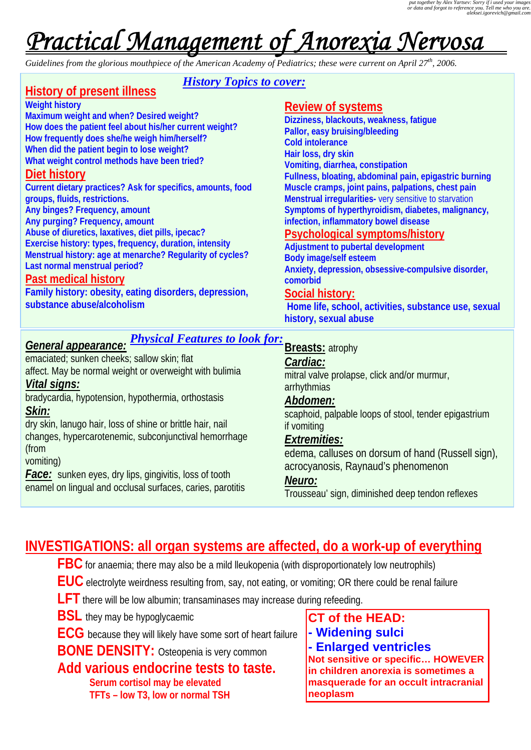# *Practical Management of Anorexia Nervosa*

*Guidelines from the glorious mouthpiece of the American Academy of Pediatrics; these were current on April 27th, 2006.* 

# **History of present illness**

*History Topics to cover:*

#### **Weight history**

**Maximum weight and when? Desired weight? How does the patient feel about his/her current weight? How frequently does she/he weigh him/herself? When did the patient begin to lose weight? What weight control methods have been tried?** 

## **Diet history**

**Current dietary practices? Ask for specifics, amounts, food groups, fluids, restrictions. Any binges? Frequency, amount Any purging? Frequency, amount Abuse of diuretics, laxatives, diet pills, ipecac? Exercise history: types, frequency, duration, intensity Menstrual history: age at menarche? Regularity of cycles? Last normal menstrual period?** 

#### **Past medical history**

**Family history: obesity, eating disorders, depression, substance abuse/alcoholism** 

#### **Review of systems**

**Dizziness, blackouts, weakness, fatigue Pallor, easy bruising/bleeding Cold intolerance Hair loss, dry skin Vomiting, diarrhea, constipation Fullness, bloating, abdominal pain, epigastric burning Muscle cramps, joint pains, palpations, chest pain Menstrual irregularities-** very sensitive to starvation **Symptoms of hyperthyroidism, diabetes, malignancy, infection, inflammatory bowel disease** 

## **Psychological symptoms/history**

**Adjustment to pubertal development Body image/self esteem Anxiety, depression, obsessive-compulsive disorder, comorbid Social history: Home life, school, activities, substance use, sexual** 

**history, sexual abuse** 

# *Physical Features to look for:*

## *General appearance:*

emaciated; sunken cheeks; sallow skin; flat affect. May be normal weight or overweight with bulimia *Vital signs:*  bradycardia, hypotension, hypothermia, orthostasis

# *Skin:*

dry skin, lanugo hair, loss of shine or brittle hair, nail changes, hypercarotenemic, subconjunctival hemorrhage (from

#### vomiting)

*Face:* sunken eyes, dry lips, gingivitis, loss of tooth enamel on lingual and occlusal surfaces, caries, parotitis

#### **Breasts:** atrophy

#### *Cardiac:*

mitral valve prolapse, click and/or murmur, arrhythmias

#### *Abdomen:*

scaphoid, palpable loops of stool, tender epigastrium if vomiting

# *Extremities:*

edema, calluses on dorsum of hand (Russell sign), acrocyanosis, Raynaud's phenomenon

#### *Neuro:*

Trousseau' sign, diminished deep tendon reflexes

# **INVESTIGATIONS: all organ systems are affected, do a work-up of everything**

**FBC** for anaemia; there may also be a mild lleukopenia (with disproportionately low neutrophils)

 **EUC** electrolyte weirdness resulting from, say, not eating, or vomiting; OR there could be renal failure

**LFT** there will be low albumin; transaminases may increase during refeeding.

**BSL** they may be hypoglycaemic

 **ECG** because they will likely have some sort of heart failure

**BONE DENSITY:** Osteopenia is very common

# **Add various endocrine tests to taste.**

 **Serum cortisol may be elevated TFTs – low T3, low or normal TSH**  **CT of the HEAD:** 

- **Widening sulci**
- **Enlarged ventricles**

**Not sensitive or specific… HOWEVER in children anorexia is sometimes a masquerade for an occult intracranial neoplasm**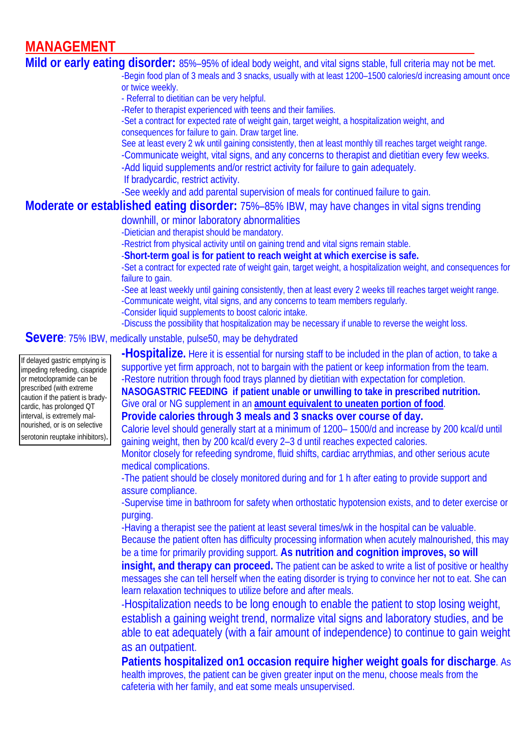# **MANAGEMENT**

**Mild or early eating disorder:** 85%–95% of ideal body weight, and vital signs stable, full criteria may not be met. -Begin food plan of 3 meals and 3 snacks, usually with at least 1200–1500 calories/d increasing amount once or twice weekly. - Referral to dietitian can be very helpful. -Refer to therapist experienced with teens and their families. -Set a contract for expected rate of weight gain, target weight, a hospitalization weight, and consequences for failure to gain. Draw target line. See at least every 2 wk until gaining consistently, then at least monthly till reaches target weight range. -Communicate weight, vital signs, and any concerns to therapist and dietitian every few weeks. -Add liquid supplements and/or restrict activity for failure to gain adequately. If bradycardic, restrict activity. -See weekly and add parental supervision of meals for continued failure to gain. **Moderate or established eating disorder:** 75%–85% IBW, may have changes in vital signs trending downhill, or minor laboratory abnormalities -Dietician and therapist should be mandatory. -Restrict from physical activity until on gaining trend and vital signs remain stable. -**Short-term goal is for patient to reach weight at which exercise is safe.** -Set a contract for expected rate of weight gain, target weight, a hospitalization weight, and consequences for failure to gain. -See at least weekly until gaining consistently, then at least every 2 weeks till reaches target weight range. -Communicate weight, vital signs, and any concerns to team members regularly. -Consider liquid supplements to boost caloric intake. -Discuss the possibility that hospitalization may be necessary if unable to reverse the weight loss. **Severe**: 75% IBW, medically unstable, pulse50, may be dehydrated **-Hospitalize.** Here it is essential for nursing staff to be included in the plan of action, to take a supportive yet firm approach, not to bargain with the patient or keep information from the team. -Restore nutrition through food trays planned by dietitian with expectation for completion. **NASOGASTRIC FEEDING if patient unable or unwilling to take in prescribed nutrition.**  Give oral or NG supplement in an **amount equivalent to uneaten portion of food**. **Provide calories through 3 meals and 3 snacks over course of day.**  Calorie level should generally start at a minimum of 1200– 1500/d and increase by 200 kcal/d until If delayed gastric emptying is impeding refeeding, cisapride or metoclopramide can be prescribed (with extreme caution if the patient is bradycardic, has prolonged QT interval, is extremely malnourished, or is on selective

serotonin reuptake inhibitors).

gaining weight, then by 200 kcal/d every 2–3 d until reaches expected calories. Monitor closely for refeeding syndrome, fluid shifts, cardiac arrythmias, and other serious acute medical complications.

-The patient should be closely monitored during and for 1 h after eating to provide support and assure compliance.

-Supervise time in bathroom for safety when orthostatic hypotension exists, and to deter exercise or purging.

-Having a therapist see the patient at least several times/wk in the hospital can be valuable. Because the patient often has difficulty processing information when acutely malnourished, this may be a time for primarily providing support. **As nutrition and cognition improves, so will** 

**insight, and therapy can proceed.** The patient can be asked to write a list of positive or healthy messages she can tell herself when the eating disorder is trying to convince her not to eat. She can learn relaxation techniques to utilize before and after meals.

-Hospitalization needs to be long enough to enable the patient to stop losing weight, establish a gaining weight trend, normalize vital signs and laboratory studies, and be able to eat adequately (with a fair amount of independence) to continue to gain weight as an outpatient.

**Patients hospitalized on1 occasion require higher weight goals for discharge**. As health improves, the patient can be given greater input on the menu, choose meals from the cafeteria with her family, and eat some meals unsupervised.